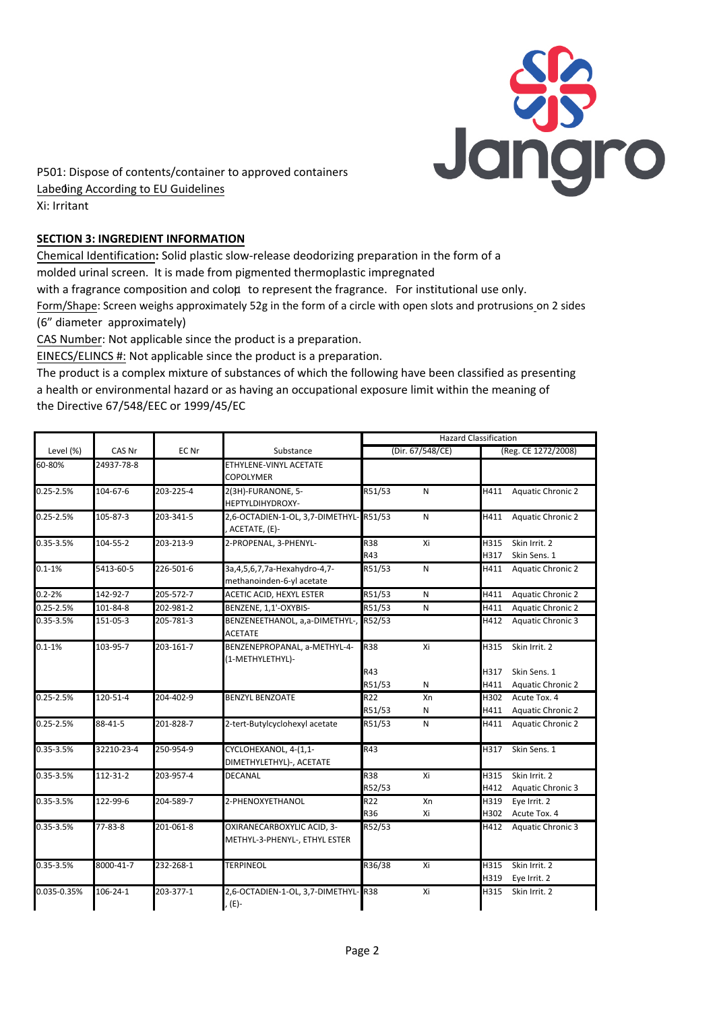

P501: Dispose of contents/container to approved containers Labeding According to EU Guidelines Xi: Irritant

## **SECTION 3: INGREDIENT INFORMATION**

Chemical Identification**:** Solid plastic slow-release deodorizing preparation in the form of a molded urinal screen. It is made from pigmented thermoplastic impregnated

with a fragrance composition and coloµ to represent the fragrance. For institutional use only.

Form/Shape: Screen weighs approximately 52g in the form of a circle with open slots and protrusions on 2 sides (6" diameter approximately)

CAS Number: Not applicable since the product is a preparation.

EINECS/ELINCS #: Not applicable since the product is a preparation.

The product is a complex mixture of substances of which the following have been classified as presenting a health or environmental hazard or as having an occupational exposure limit within the meaning of the Directive 67/548/EEC or 1999/45/EC

|               | CAS Nr     | EC Nr     | Substance                                     | <b>Hazard Classification</b> |    |                     |                          |
|---------------|------------|-----------|-----------------------------------------------|------------------------------|----|---------------------|--------------------------|
| Level (%)     |            |           |                                               | (Dir. 67/548/CE)             |    | (Reg. CE 1272/2008) |                          |
| 60-80%        | 24937-78-8 |           | ETHYLENE-VINYL ACETATE                        |                              |    |                     |                          |
|               |            |           | <b>COPOLYMER</b>                              |                              |    |                     |                          |
| $0.25 - 2.5%$ | 104-67-6   | 203-225-4 | 2(3H)-FURANONE, 5-                            | R51/53                       | N  | H411                | <b>Aquatic Chronic 2</b> |
|               |            |           | HEPTYLDIHYDROXY-                              |                              |    |                     |                          |
| $0.25 - 2.5%$ | 105-87-3   | 203-341-5 | 2,6-OCTADIEN-1-OL, 3,7-DIMETHYL-R51/53        |                              | N  | H411                | <b>Aquatic Chronic 2</b> |
|               |            |           | , ACETATE, (E)-                               |                              |    |                     |                          |
| 0.35-3.5%     | 104-55-2   | 203-213-9 | 2-PROPENAL, 3-PHENYL-                         | R38                          | Xi | H315                | Skin Irrit. 2            |
|               |            |           |                                               | R43                          |    | H317                | Skin Sens. 1             |
| $0.1 - 1%$    | 5413-60-5  | 226-501-6 | 3a, 4, 5, 6, 7, 7a-Hexahydro-4, 7-            | R51/53                       | N  | H411                | <b>Aquatic Chronic 2</b> |
|               |            |           | methanoinden-6-yl acetate                     |                              |    |                     |                          |
| $0.2 - 2%$    | 142-92-7   | 205-572-7 | ACETIC ACID, HEXYL ESTER                      | R51/53                       | N  | H411                | <b>Aquatic Chronic 2</b> |
| $0.25 - 2.5%$ | 101-84-8   | 202-981-2 | BENZENE, 1,1'-OXYBIS-                         | R51/53                       | N  | H411                | <b>Aquatic Chronic 2</b> |
| 0.35-3.5%     | 151-05-3   | 205-781-3 | BENZENEETHANOL, a,a-DIMETHYL-, R52/53         |                              |    | H412                | <b>Aquatic Chronic 3</b> |
|               |            |           | <b>ACETATE</b>                                |                              |    |                     |                          |
| $0.1 - 1%$    | 103-95-7   | 203-161-7 | BENZENEPROPANAL, a-METHYL-4-                  | <b>R38</b>                   | Xi | H315                | Skin Irrit. 2            |
|               |            |           | (1-METHYLETHYL)-                              |                              |    |                     |                          |
|               |            |           |                                               | R43                          |    | H317                | Skin Sens. 1             |
|               |            |           |                                               | R51/53                       | N  | H411                | <b>Aquatic Chronic 2</b> |
| 0.25-2.5%     | 120-51-4   | 204-402-9 | <b>BENZYL BENZOATE</b>                        | R22                          | Xn | H302                | Acute Tox. 4             |
|               |            |           |                                               | R51/53                       | N  | H411                | <b>Aquatic Chronic 2</b> |
| $0.25 - 2.5%$ | 88-41-5    | 201-828-7 | 2-tert-Butylcyclohexyl acetate                | R51/53                       | N  | H411                | <b>Aquatic Chronic 2</b> |
| $0.35 - 3.5%$ | 32210-23-4 | 250-954-9 | CYCLOHEXANOL, 4-(1,1-                         | R43                          |    | H317                | Skin Sens. 1             |
|               |            |           | DIMETHYLETHYL)-, ACETATE                      |                              |    |                     |                          |
| 0.35-3.5%     | 112-31-2   | 203-957-4 | <b>DECANAL</b>                                | R38                          | Xi | H315                | Skin Irrit. 2            |
|               |            |           |                                               | R52/53                       |    | H412                | Aquatic Chronic 3        |
| 0.35-3.5%     | 122-99-6   | 204-589-7 | 2-PHENOXYETHANOL                              | R22                          | Xn | H319                | Eye Irrit. 2             |
|               |            |           |                                               | R36                          | Xi | H302                | Acute Tox. 4             |
| 0.35-3.5%     | 77-83-8    | 201-061-8 | OXIRANECARBOXYLIC ACID, 3-                    | R52/53                       |    | H412                | <b>Aquatic Chronic 3</b> |
|               |            |           | METHYL-3-PHENYL-, ETHYL ESTER                 |                              |    |                     |                          |
| $0.35 - 3.5%$ | 8000-41-7  | 232-268-1 | <b>TERPINEOL</b>                              | R36/38                       | Xi | H315                | Skin Irrit. 2            |
|               |            |           |                                               |                              |    | H319                | Eye Irrit. 2             |
| 0.035-0.35%   | 106-24-1   | 203-377-1 | 2,6-OCTADIEN-1-OL, 3,7-DIMETHYL-R38<br>. (E)- |                              | Xi | H315                | Skin Irrit. 2            |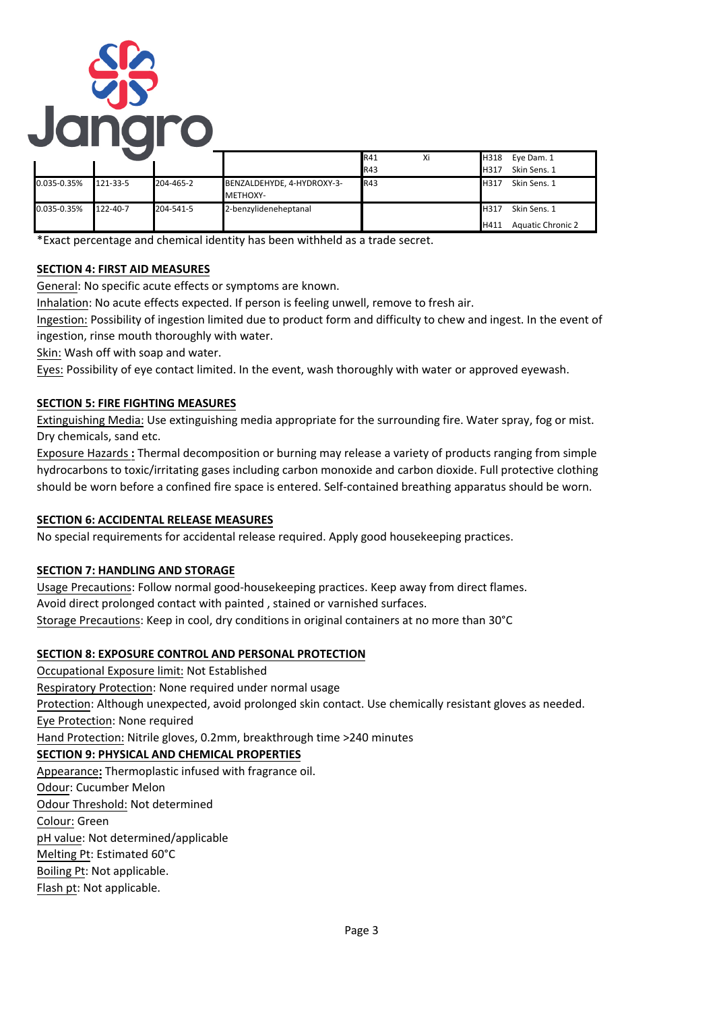

|             |          |           |                                               | R41        | Xi | H318                | Eye Dam. 1                               |
|-------------|----------|-----------|-----------------------------------------------|------------|----|---------------------|------------------------------------------|
|             |          |           |                                               | R43        |    | <b>H317</b>         | Skin Sens. 1                             |
| 0.035-0.35% | 121-33-5 | 204-465-2 | BENZALDEHYDE, 4-HYDROXY-3-<br><b>METHOXY-</b> | <b>R43</b> |    | H317                | Skin Sens. 1                             |
| 0.035-0.35% | 122-40-7 | 204-541-5 | 2-benzylideneheptanal                         |            |    | <b>H317</b><br>H411 | Skin Sens. 1<br><b>Aquatic Chronic 2</b> |

\*Exact percentage and chemical identity has been withheld as a trade secret.

# **SECTION 4: FIRST AID MEASURES**

General: No specific acute effects or symptoms are known.

Inhalation: No acute effects expected. If person is feeling unwell, remove to fresh air.

Ingestion: Possibility of ingestion limited due to product form and difficulty to chew and ingest. In the event of ingestion, rinse mouth thoroughly with water.

Skin: Wash off with soap and water.

Eyes: Possibility of eye contact limited. In the event, wash thoroughly with water or approved eyewash.

# **SECTION 5: FIRE FIGHTING MEASURES**

Extinguishing Media: Use extinguishing media appropriate for the surrounding fire. Water spray, fog or mist. Dry chemicals, sand etc.

Exposure Hazards **:** Thermal decomposition or burning may release a variety of products ranging from simple hydrocarbons to toxic/irritating gases including carbon monoxide and carbon dioxide. Full protective clothing should be worn before a confined fire space is entered. Self-contained breathing apparatus should be worn.

## **SECTION 6: ACCIDENTAL RELEASE MEASURES**

No special requirements for accidental release required. Apply good housekeeping practices.

## **SECTION 7: HANDLING AND STORAGE**

Usage Precautions: Follow normal good-housekeeping practices. Keep away from direct flames. Avoid direct prolonged contact with painted , stained or varnished surfaces. Storage Precautions: Keep in cool, dry conditions in original containers at no more than 30°C

## **SECTION 8: EXPOSURE CONTROL AND PERSONAL PROTECTION**

Occupational Exposure limit: Not Established Respiratory Protection: None required under normal usage Protection: Although unexpected, avoid prolonged skin contact. Use chemically resistant gloves as needed. Eye Protection: None required Hand Protection: Nitrile gloves, 0.2mm, breakthrough time >240 minutes **SECTION 9: PHYSICAL AND CHEMICAL PROPERTIES** Appearance**:** Thermoplastic infused with fragrance oil. Odour: Cucumber Melon Odour Threshold: Not determined Colour: Green pH value: Not determined/applicable Melting Pt: Estimated 60°C Boiling Pt: Not applicable. Flash pt: Not applicable.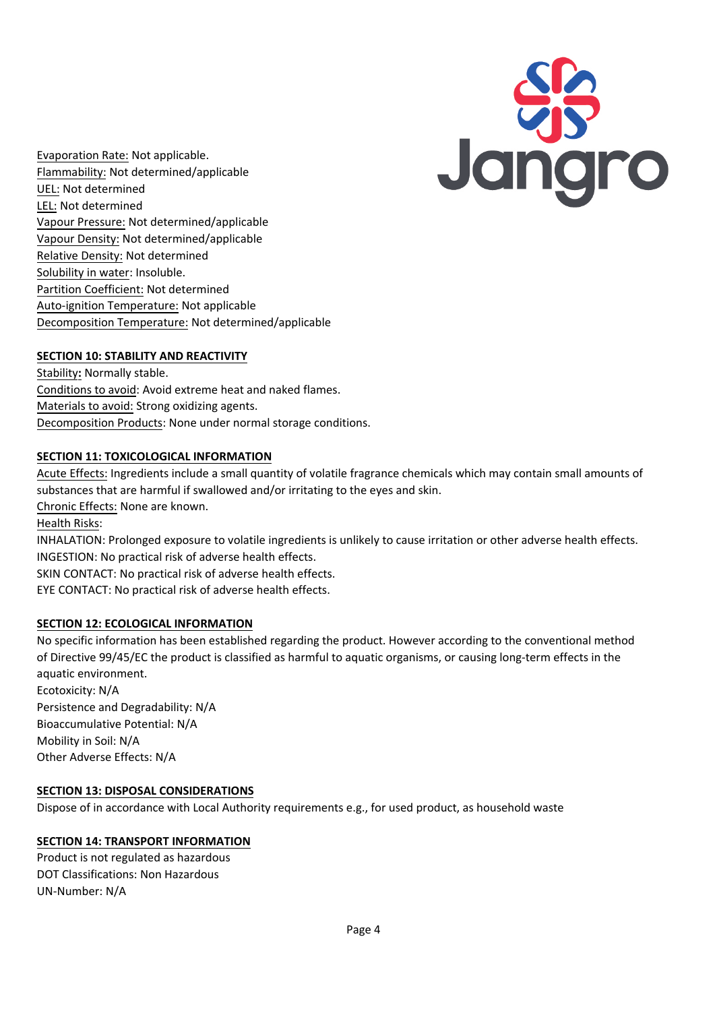

Evaporation Rate: Not applicable. Flammability: Not determined/applicable UEL: Not determined LEL: Not determined Vapour Pressure: Not determined/applicable Vapour Density: Not determined/applicable Relative Density: Not determined Solubility in water: Insoluble. Partition Coefficient: Not determined Auto-ignition Temperature: Not applicable Decomposition Temperature: Not determined/applicable

# **SECTION 10: STABILITY AND REACTIVITY**

Stability**:** Normally stable. Conditions to avoid: Avoid extreme heat and naked flames. Materials to avoid: Strong oxidizing agents. Decomposition Products: None under normal storage conditions.

## **SECTION 11: TOXICOLOGICAL INFORMATION**

Acute Effects: Ingredients include a small quantity of volatile fragrance chemicals which may contain small amounts of substances that are harmful if swallowed and/or irritating to the eyes and skin. Chronic Effects: None are known.

Health Risks:

INHALATION: Prolonged exposure to volatile ingredients is unlikely to cause irritation or other adverse health effects. INGESTION: No practical risk of adverse health effects.

SKIN CONTACT: No practical risk of adverse health effects.

EYE CONTACT: No practical risk of adverse health effects.

## **SECTION 12: ECOLOGICAL INFORMATION**

No specific information has been established regarding the product. However according to the conventional method of Directive 99/45/EC the product is classified as harmful to aquatic organisms, or causing long-term effects in the aquatic environment. Ecotoxicity: N/A

Persistence and Degradability: N/A Bioaccumulative Potential: N/A Mobility in Soil: N/A Other Adverse Effects: N/A

#### **SECTION 13: DISPOSAL CONSIDERATIONS**

Dispose of in accordance with Local Authority requirements e.g., for used product, as household waste

#### **SECTION 14: TRANSPORT INFORMATION**

Product is not regulated as hazardous DOT Classifications: Non Hazardous UN-Number: N/A